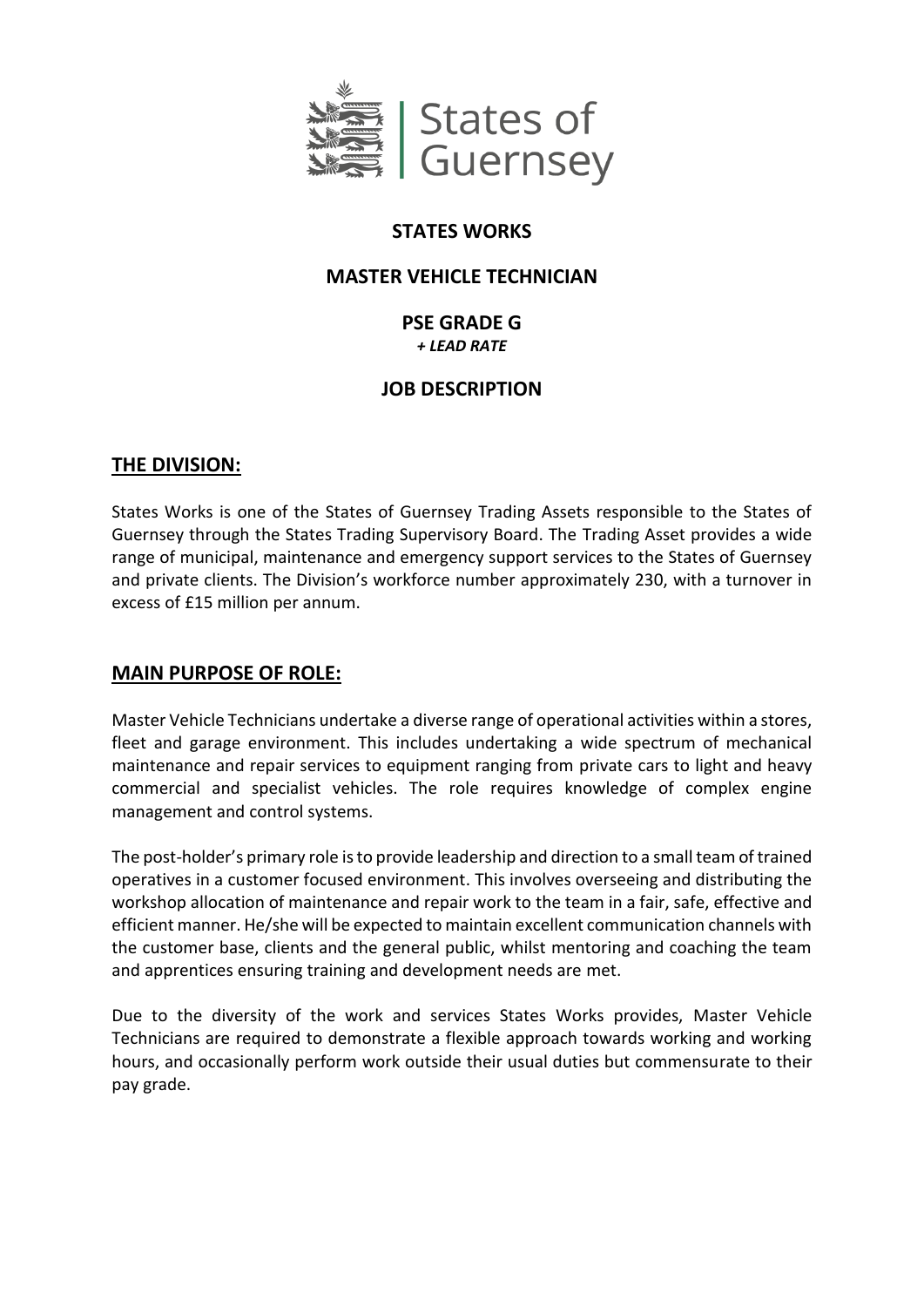

# **STATES WORKS**

# **MASTER VEHICLE TECHNICIAN**

# **PSE GRADE G** *+ LEAD RATE*

# **JOB DESCRIPTION**

# **THE DIVISION:**

States Works is one of the States of Guernsey Trading Assets responsible to the States of Guernsey through the States Trading Supervisory Board. The Trading Asset provides a wide range of municipal, maintenance and emergency support services to the States of Guernsey and private clients. The Division's workforce number approximately 230, with a turnover in excess of £15 million per annum.

# **MAIN PURPOSE OF ROLE:**

Master Vehicle Technicians undertake a diverse range of operational activities within a stores, fleet and garage environment. This includes undertaking a wide spectrum of mechanical maintenance and repair services to equipment ranging from private cars to light and heavy commercial and specialist vehicles. The role requires knowledge of complex engine management and control systems.

The post-holder's primary role is to provide leadership and direction to a small team of trained operatives in a customer focused environment. This involves overseeing and distributing the workshop allocation of maintenance and repair work to the team in a fair, safe, effective and efficient manner. He/she will be expected to maintain excellent communication channels with the customer base, clients and the general public, whilst mentoring and coaching the team and apprentices ensuring training and development needs are met.

Due to the diversity of the work and services States Works provides, Master Vehicle Technicians are required to demonstrate a flexible approach towards working and working hours, and occasionally perform work outside their usual duties but commensurate to their pay grade.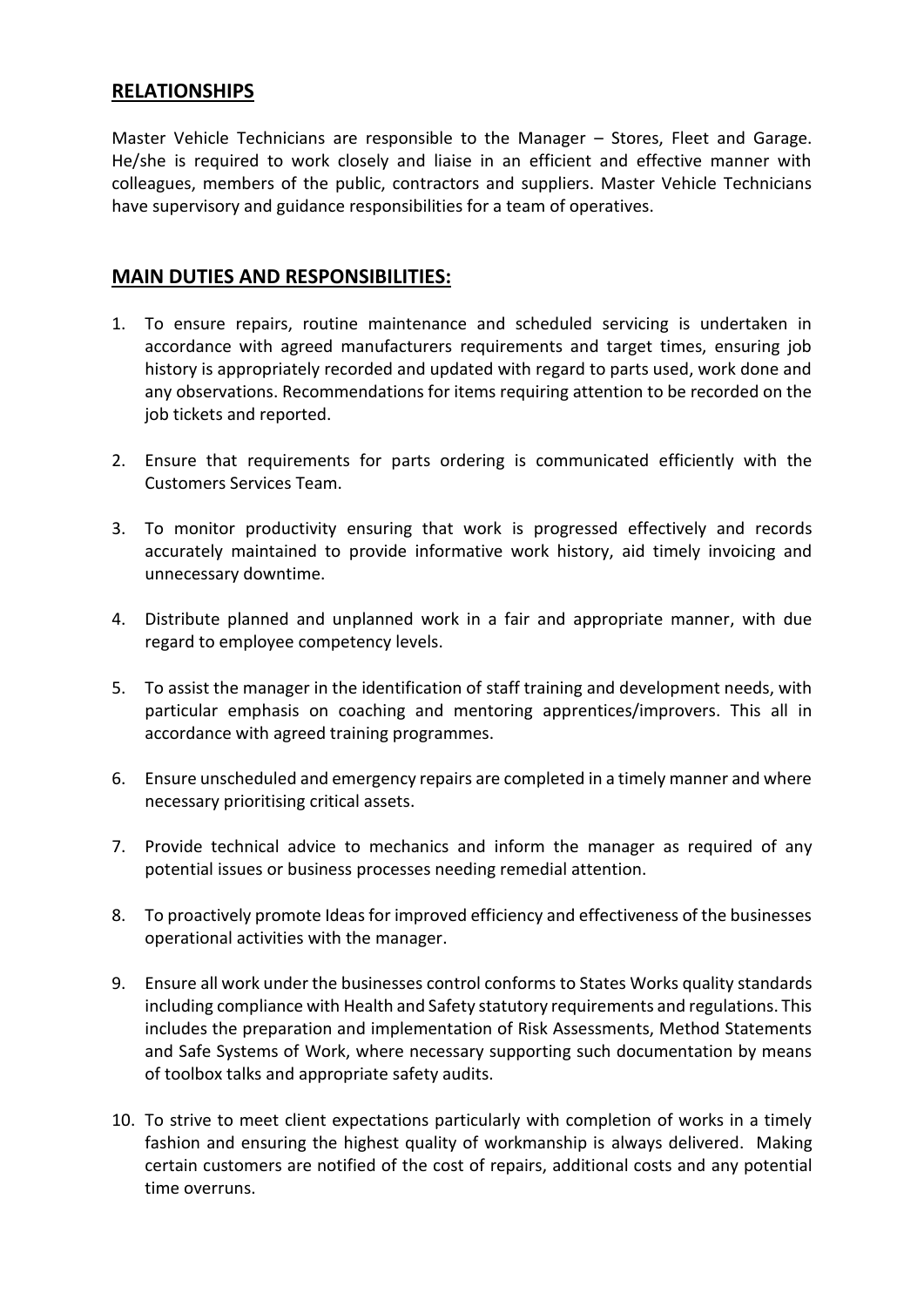# **RELATIONSHIPS**

Master Vehicle Technicians are responsible to the Manager – Stores, Fleet and Garage. He/she is required to work closely and liaise in an efficient and effective manner with colleagues, members of the public, contractors and suppliers. Master Vehicle Technicians have supervisory and guidance responsibilities for a team of operatives.

### **MAIN DUTIES AND RESPONSIBILITIES:**

- 1. To ensure repairs, routine maintenance and scheduled servicing is undertaken in accordance with agreed manufacturers requirements and target times, ensuring job history is appropriately recorded and updated with regard to parts used, work done and any observations. Recommendations for items requiring attention to be recorded on the job tickets and reported.
- 2. Ensure that requirements for parts ordering is communicated efficiently with the Customers Services Team.
- 3. To monitor productivity ensuring that work is progressed effectively and records accurately maintained to provide informative work history, aid timely invoicing and unnecessary downtime.
- 4. Distribute planned and unplanned work in a fair and appropriate manner, with due regard to employee competency levels.
- 5. To assist the manager in the identification of staff training and development needs, with particular emphasis on coaching and mentoring apprentices/improvers. This all in accordance with agreed training programmes.
- 6. Ensure unscheduled and emergency repairs are completed in a timely manner and where necessary prioritising critical assets.
- 7. Provide technical advice to mechanics and inform the manager as required of any potential issues or business processes needing remedial attention.
- 8. To proactively promote Ideas for improved efficiency and effectiveness of the businesses operational activities with the manager.
- 9. Ensure all work under the businesses control conforms to States Works quality standards including compliance with Health and Safety statutory requirements and regulations. This includes the preparation and implementation of Risk Assessments, Method Statements and Safe Systems of Work, where necessary supporting such documentation by means of toolbox talks and appropriate safety audits.
- 10. To strive to meet client expectations particularly with completion of works in a timely fashion and ensuring the highest quality of workmanship is always delivered. Making certain customers are notified of the cost of repairs, additional costs and any potential time overruns.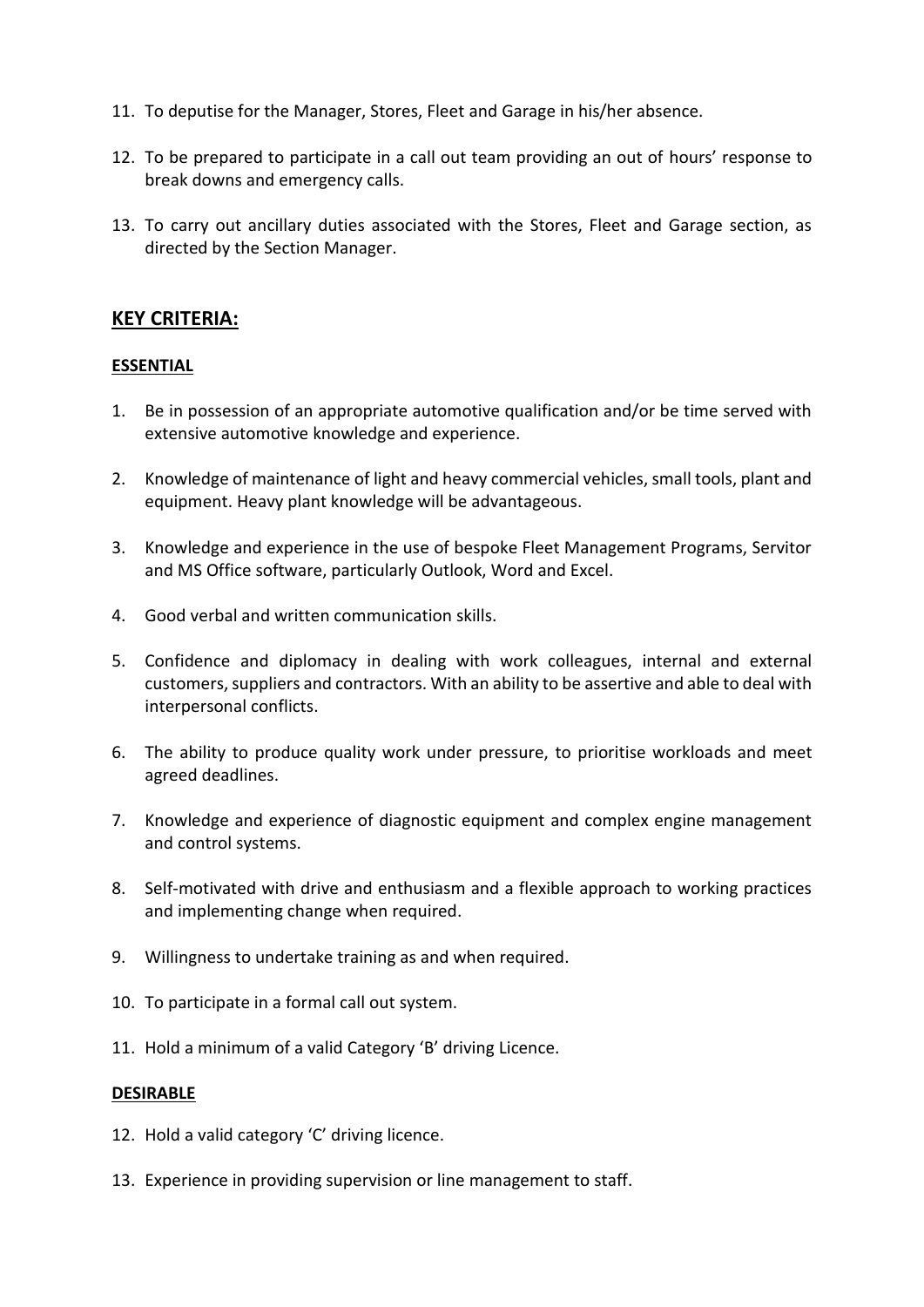- 11. To deputise for the Manager, Stores, Fleet and Garage in his/her absence.
- 12. To be prepared to participate in a call out team providing an out of hours' response to break downs and emergency calls.
- 13. To carry out ancillary duties associated with the Stores, Fleet and Garage section, as directed by the Section Manager.

### **KEY CRITERIA:**

#### **ESSENTIAL**

- 1. Be in possession of an appropriate automotive qualification and/or be time served with extensive automotive knowledge and experience.
- 2. Knowledge of maintenance of light and heavy commercial vehicles, small tools, plant and equipment. Heavy plant knowledge will be advantageous.
- 3. Knowledge and experience in the use of bespoke Fleet Management Programs, Servitor and MS Office software, particularly Outlook, Word and Excel.
- 4. Good verbal and written communication skills.
- 5. Confidence and diplomacy in dealing with work colleagues, internal and external customers, suppliers and contractors. With an ability to be assertive and able to deal with interpersonal conflicts.
- 6. The ability to produce quality work under pressure, to prioritise workloads and meet agreed deadlines.
- 7. Knowledge and experience of diagnostic equipment and complex engine management and control systems.
- 8. Self-motivated with drive and enthusiasm and a flexible approach to working practices and implementing change when required.
- 9. Willingness to undertake training as and when required.
- 10. To participate in a formal call out system.
- 11. Hold a minimum of a valid Category 'B' driving Licence.

#### **DESIRABLE**

- 12. Hold a valid category 'C' driving licence.
- 13. Experience in providing supervision or line management to staff.